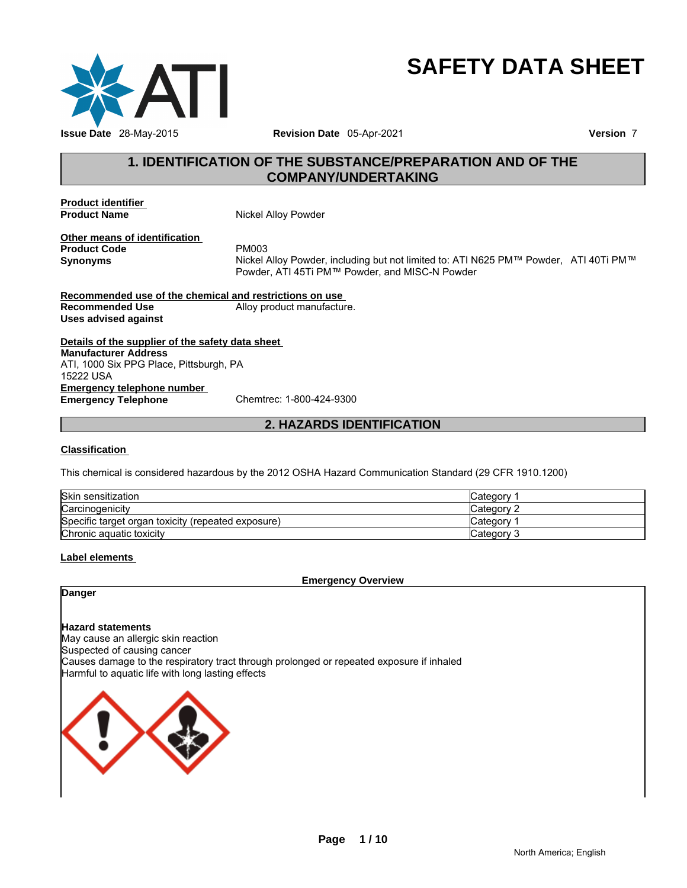

# **SAFETY DATA SHEET**

# **1. IDENTIFICATION OF THE SUBSTANCE/PREPARATION AND OF THE COMPANY/UNDERTAKING**

**Product identifier** 

**Nickel Alloy Powder** 

**Other means of identification Product Code** PM003

**Synonyms** Nickel Alloy Powder, including but not limited to: ATI N625 PM™ Powder, ATI 40Ti PM™ Powder, ATI 45Ti PM™ Powder, and MISC-N Powder

**Recommended use of the chemical and restrictions on use Recommended Use** Alloy product manufacture. **Uses advised against** 

**Details of the supplier of the safety data sheet Emergency telephone number<br>
Emergency Telephone**<br>
Chemtrec: 1-800-424-9300 **Emergency Telephone Manufacturer Address** ATI, 1000 Six PPG Place, Pittsburgh, PA 15222 USA

**2. HAZARDS IDENTIFICATION** 

#### **Classification**

This chemical is considered hazardous by the 2012 OSHA Hazard Communication Standard (29 CFR 1910.1200)

| Skin sensitization                                 | انت Category |
|----------------------------------------------------|--------------|
| Carcinogenicity                                    | Categorv 2   |
| Specific target organ toxicity (repeated exposure) | Category     |
| Chronic aguatic toxicity                           | Category 3   |

#### **Label elements**

**Emergency Overview** 

**Danger** 

**Hazard statements** May cause an allergic skin reaction Suspected of causing cancer Causes damage to the respiratory tract through prolonged or repeated exposure if inhaled Harmful to aquatic life with long lasting effects

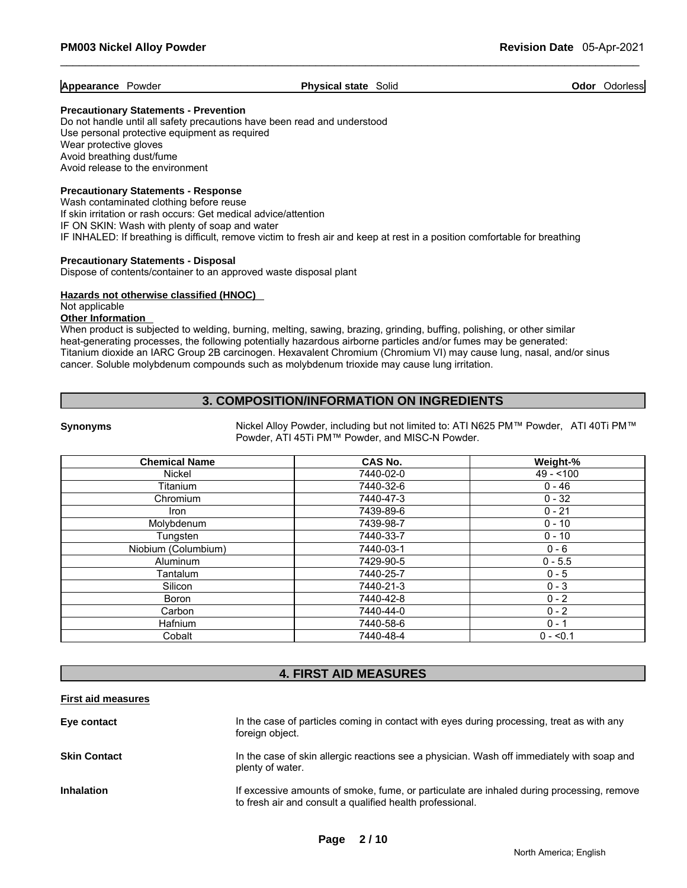#### **Appearance Powder Physical state Solid <b>Physical state Solid Physical Solid Physical Solid Physical Solid Physical Solid Physical Solid Physical Solid Physical Solid Physical Solid Physical Solid Ph**

#### **Precautionary Statements - Prevention**

Do not handle until all safety precautions have been read and understood Use personal protective equipment as required Wear protective gloves Avoid breathing dust/fume Avoid release to the environment

#### **Precautionary Statements - Response**

Wash contaminated clothing before reuse If skin irritation or rash occurs: Get medical advice/attention IF ON SKIN: Wash with plenty of soap and water IF INHALED: If breathing is difficult, remove victim to fresh air and keep at rest in a position comfortable for breathing

#### **Precautionary Statements - Disposal**

Dispose of contents/container to an approved waste disposal plant

#### **Hazards not otherwise classified (HNOC)**

Not applicable

# **Other Information**

When product is subjected to welding, burning, melting, sawing, brazing, grinding, buffing, polishing, or other similar heat-generating processes, the following potentially hazardous airborne particles and/or fumes may be generated: Titanium dioxide an IARC Group 2B carcinogen. Hexavalent Chromium (Chromium VI) may cause lung, nasal, and/or sinus cancer. Soluble molybdenum compounds such as molybdenum trioxide may cause lung irritation.

# **3. COMPOSITION/INFORMATION ON INGREDIENTS**

**Synonyms** Nickel Alloy Powder, including but not limited to: ATI N625 PM™ Powder, ATI 40Ti PM™ Powder, ATI 45Ti PM™ Powder, and MISC-N Powder.

| <b>Chemical Name</b> | CAS No.   | Weight-%   |
|----------------------|-----------|------------|
| Nickel               | 7440-02-0 | $49 - 100$ |
| <b>Titanium</b>      | 7440-32-6 | $0 - 46$   |
| Chromium             | 7440-47-3 | $0 - 32$   |
| Iron                 | 7439-89-6 | $0 - 21$   |
| Molybdenum           | 7439-98-7 | $0 - 10$   |
| Tungsten             | 7440-33-7 | $0 - 10$   |
| Niobium (Columbium)  | 7440-03-1 | $0 - 6$    |
| Aluminum             | 7429-90-5 | $0 - 5.5$  |
| Tantalum             | 7440-25-7 | $0 - 5$    |
| Silicon              | 7440-21-3 | $0 - 3$    |
| Boron                | 7440-42-8 | $0 - 2$    |
| Carbon               | 7440-44-0 | $0 - 2$    |
| Hafnium              | 7440-58-6 | $0 - 1$    |
| Cobalt               | 7440-48-4 | $0 - 50.1$ |

# **4. FIRST AID MEASURES**

#### **First aid measures**

| Eye contact         | In the case of particles coming in contact with eyes during processing, treat as with any<br>foreign object.                                           |
|---------------------|--------------------------------------------------------------------------------------------------------------------------------------------------------|
| <b>Skin Contact</b> | In the case of skin allergic reactions see a physician. Wash off immediately with soap and<br>plenty of water.                                         |
| <b>Inhalation</b>   | If excessive amounts of smoke, fume, or particulate are inhaled during processing, remove<br>to fresh air and consult a qualified health professional. |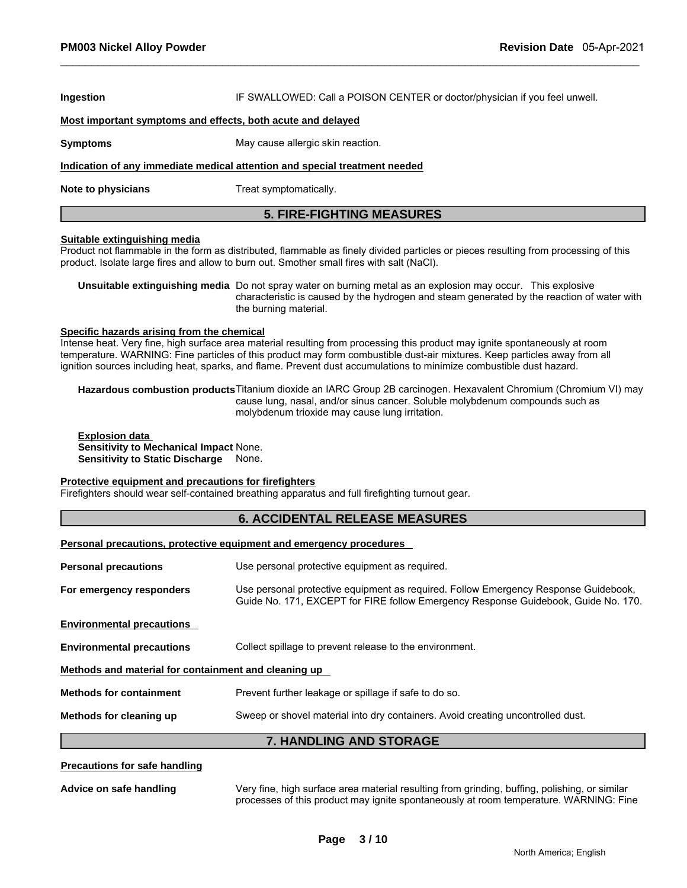| Ingestion                                                                                                | IF SWALLOWED: Call a POISON CENTER or doctor/physician if you feel unwell.                                                                                                                                                                                                                                                                                                      |  |  |  |  |
|----------------------------------------------------------------------------------------------------------|---------------------------------------------------------------------------------------------------------------------------------------------------------------------------------------------------------------------------------------------------------------------------------------------------------------------------------------------------------------------------------|--|--|--|--|
| Most important symptoms and effects, both acute and delayed                                              |                                                                                                                                                                                                                                                                                                                                                                                 |  |  |  |  |
| <b>Symptoms</b><br>May cause allergic skin reaction.                                                     |                                                                                                                                                                                                                                                                                                                                                                                 |  |  |  |  |
|                                                                                                          | Indication of any immediate medical attention and special treatment needed                                                                                                                                                                                                                                                                                                      |  |  |  |  |
| Note to physicians                                                                                       | Treat symptomatically.                                                                                                                                                                                                                                                                                                                                                          |  |  |  |  |
|                                                                                                          | <b>5. FIRE-FIGHTING MEASURES</b>                                                                                                                                                                                                                                                                                                                                                |  |  |  |  |
| <b>Suitable extinguishing media</b>                                                                      | Product not flammable in the form as distributed, flammable as finely divided particles or pieces resulting from processing of this<br>product. Isolate large fires and allow to burn out. Smother small fires with salt (NaCl).                                                                                                                                                |  |  |  |  |
|                                                                                                          | Unsuitable extinguishing media Do not spray water on burning metal as an explosion may occur. This explosive<br>characteristic is caused by the hydrogen and steam generated by the reaction of water with<br>the burning material.                                                                                                                                             |  |  |  |  |
| Specific hazards arising from the chemical                                                               | Intense heat. Very fine, high surface area material resulting from processing this product may ignite spontaneously at room<br>temperature. WARNING: Fine particles of this product may form combustible dust-air mixtures. Keep particles away from all<br>ignition sources including heat, sparks, and flame. Prevent dust accumulations to minimize combustible dust hazard. |  |  |  |  |
|                                                                                                          |                                                                                                                                                                                                                                                                                                                                                                                 |  |  |  |  |
|                                                                                                          | Hazardous combustion products Titanium dioxide an IARC Group 2B carcinogen. Hexavalent Chromium (Chromium VI) may<br>cause lung, nasal, and/or sinus cancer. Soluble molybdenum compounds such as<br>molybdenum trioxide may cause lung irritation.                                                                                                                             |  |  |  |  |
| <b>Explosion data</b><br>Sensitivity to Mechanical Impact None.<br>Sensitivity to Static Discharge None. |                                                                                                                                                                                                                                                                                                                                                                                 |  |  |  |  |
| Protective equipment and precautions for firefighters                                                    | Firefighters should wear self-contained breathing apparatus and full firefighting turnout gear.                                                                                                                                                                                                                                                                                 |  |  |  |  |
|                                                                                                          | <b>6. ACCIDENTAL RELEASE MEASURES</b>                                                                                                                                                                                                                                                                                                                                           |  |  |  |  |
|                                                                                                          | Personal precautions, protective equipment and emergency procedures                                                                                                                                                                                                                                                                                                             |  |  |  |  |
| <b>Personal precautions</b>                                                                              | Use personal protective equipment as required.                                                                                                                                                                                                                                                                                                                                  |  |  |  |  |
| For emergency responders                                                                                 | Use personal protective equipment as required. Follow Emergency Response Guidebook,<br>Guide No. 171, EXCEPT for FIRE follow Emergency Response Guidebook, Guide No. 170.                                                                                                                                                                                                       |  |  |  |  |
| <b>Environmental precautions</b>                                                                         |                                                                                                                                                                                                                                                                                                                                                                                 |  |  |  |  |
| <b>Environmental precautions</b>                                                                         | Collect spillage to prevent release to the environment.                                                                                                                                                                                                                                                                                                                         |  |  |  |  |
| Methods and material for containment and cleaning up                                                     |                                                                                                                                                                                                                                                                                                                                                                                 |  |  |  |  |
| <b>Methods for containment</b>                                                                           | Prevent further leakage or spillage if safe to do so.                                                                                                                                                                                                                                                                                                                           |  |  |  |  |
| Methods for cleaning up                                                                                  | Sweep or shovel material into dry containers. Avoid creating uncontrolled dust.                                                                                                                                                                                                                                                                                                 |  |  |  |  |

**Advice on safe handling** Very fine, high surface area material resulting from grinding, buffing, polishing, or similar processes of this product may ignite spontaneously at room temperature. WARNING: Fine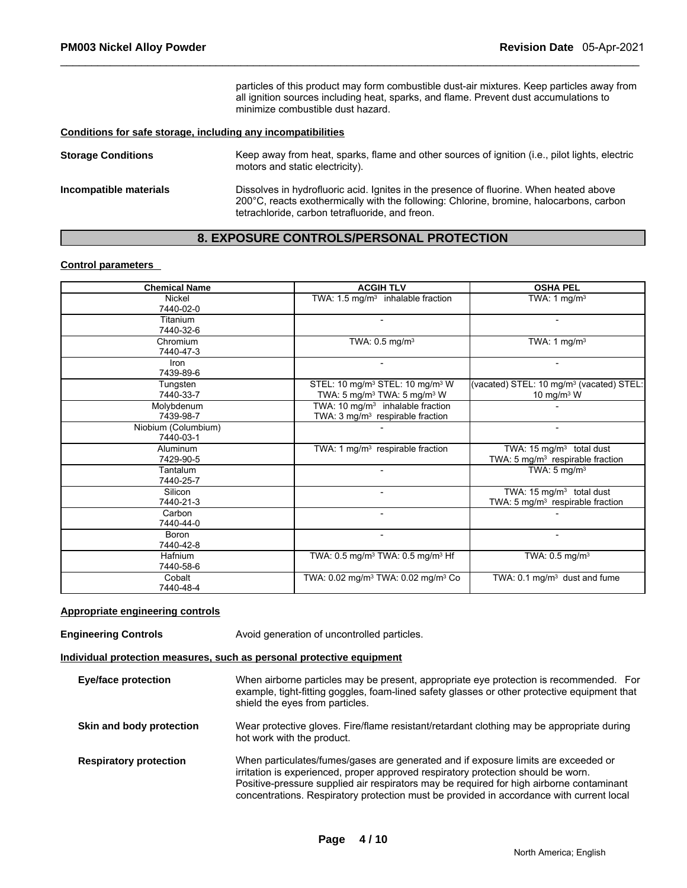particles of this product may form combustible dust-air mixtures. Keep particles away from all ignition sources including heat, sparks, and flame. Prevent dust accumulations to minimize combustible dust hazard.

### **Conditions for safe storage, including any incompatibilities**

| <b>Storage Conditions</b> | Keep away from heat, sparks, flame and other sources of ignition (i.e., pilot lights, electric<br>motors and static electricity).                                                                                                    |
|---------------------------|--------------------------------------------------------------------------------------------------------------------------------------------------------------------------------------------------------------------------------------|
| Incompatible materials    | Dissolves in hydrofluoric acid. Ignites in the presence of fluorine. When heated above<br>200°C, reacts exothermically with the following: Chlorine, bromine, halocarbons, carbon<br>tetrachloride, carbon tetrafluoride, and freon. |

# **8. EXPOSURE CONTROLS/PERSONAL PROTECTION**

### **Control parameters**

| <b>Chemical Name</b>             | <b>ACGIH TLV</b>                                                                                               | <b>OSHA PEL</b>                                                                      |
|----------------------------------|----------------------------------------------------------------------------------------------------------------|--------------------------------------------------------------------------------------|
| Nickel<br>7440-02-0              | TWA: $1.5 \text{ mg/m}^3$ inhalable fraction                                                                   | TWA: 1 mg/m <sup>3</sup>                                                             |
| Titanium<br>7440-32-6            |                                                                                                                |                                                                                      |
| Chromium<br>7440-47-3            | TWA: $0.5$ mg/m <sup>3</sup>                                                                                   | TWA: 1 $mg/m3$                                                                       |
| Iron<br>7439-89-6                |                                                                                                                |                                                                                      |
| Tungsten<br>7440-33-7            | STEL: 10 mg/m <sup>3</sup> STEL: 10 mg/m <sup>3</sup> W<br>TWA: 5 mg/m <sup>3</sup> TWA: 5 mg/m <sup>3</sup> W | (vacated) STEL: 10 mg/m <sup>3</sup> (vacated) STEL:<br>10 mg/m $3$ W                |
| Molybdenum<br>7439-98-7          | TWA: 10 mg/m <sup>3</sup> inhalable fraction<br>TWA: 3 mg/m <sup>3</sup> respirable fraction                   |                                                                                      |
| Niobium (Columbium)<br>7440-03-1 |                                                                                                                |                                                                                      |
| Aluminum<br>7429-90-5            | TWA: 1 mg/m <sup>3</sup> respirable fraction                                                                   | TWA: 15 mg/m <sup>3</sup> total dust<br>TWA: 5 mg/m <sup>3</sup> respirable fraction |
| Tantalum<br>7440-25-7            |                                                                                                                | TWA: $5 \text{ mg/m}^3$                                                              |
| Silicon<br>7440-21-3             |                                                                                                                | TWA: 15 mg/m <sup>3</sup> total dust<br>TWA: $5 \text{ mg/m}^3$ respirable fraction  |
| Carbon<br>7440-44-0              |                                                                                                                |                                                                                      |
| Boron<br>7440-42-8               |                                                                                                                |                                                                                      |
| Hafnium<br>7440-58-6             | TWA: 0.5 mg/m <sup>3</sup> TWA: 0.5 mg/m <sup>3</sup> Hf                                                       | TWA: 0.5 mg/m <sup>3</sup>                                                           |
| Cobalt<br>7440-48-4              | TWA: 0.02 mg/m <sup>3</sup> TWA: 0.02 mg/m <sup>3</sup> Co                                                     | $\overline{\text{TWA}}$ : 0.1 mg/m <sup>3</sup> dust and fume                        |

# **Appropriate engineering controls**

| <b>Engineering Controls</b>                                           | Avoid generation of uncontrolled particles.                                                                                                                                                                                                                                                                                                                     |  |  |  |
|-----------------------------------------------------------------------|-----------------------------------------------------------------------------------------------------------------------------------------------------------------------------------------------------------------------------------------------------------------------------------------------------------------------------------------------------------------|--|--|--|
| Individual protection measures, such as personal protective equipment |                                                                                                                                                                                                                                                                                                                                                                 |  |  |  |
| <b>Eye/face protection</b>                                            | When airborne particles may be present, appropriate eye protection is recommended. For<br>example, tight-fitting goggles, foam-lined safety glasses or other protective equipment that<br>shield the eyes from particles.                                                                                                                                       |  |  |  |
| Skin and body protection                                              | Wear protective gloves. Fire/flame resistant/retardant clothing may be appropriate during<br>hot work with the product.                                                                                                                                                                                                                                         |  |  |  |
| <b>Respiratory protection</b>                                         | When particulates/fumes/gases are generated and if exposure limits are exceeded or<br>irritation is experienced, proper approved respiratory protection should be worn.<br>Positive-pressure supplied air respirators may be required for high airborne contaminant<br>concentrations. Respiratory protection must be provided in accordance with current local |  |  |  |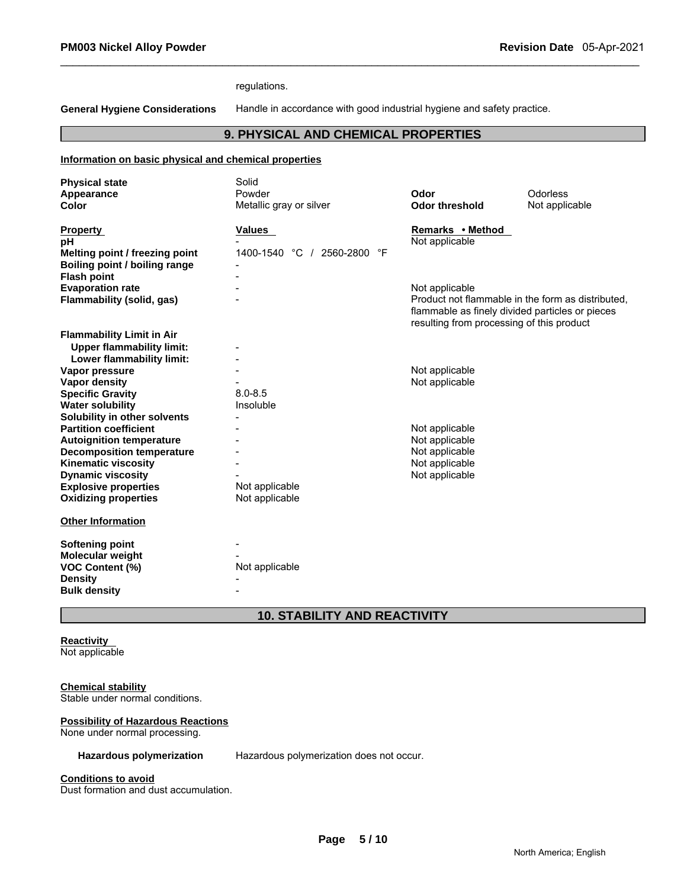regulations.

**General Hygiene Considerations** Handle in accordance with good industrial hygiene and safety practice.

# **9. PHYSICAL AND CHEMICAL PROPERTIES**

#### **Information on basic physical and chemical properties**

| <b>Physical state</b>                                                                             | Solid                       |                                                                                                                                                                     |                 |
|---------------------------------------------------------------------------------------------------|-----------------------------|---------------------------------------------------------------------------------------------------------------------------------------------------------------------|-----------------|
| Appearance                                                                                        | Powder                      | Odor                                                                                                                                                                | <b>Odorless</b> |
| Color                                                                                             | Metallic gray or silver     | <b>Odor threshold</b>                                                                                                                                               | Not applicable  |
| <b>Property</b><br>рH                                                                             | <b>Values</b>               | Remarks • Method<br>Not applicable                                                                                                                                  |                 |
| Melting point / freezing point<br><b>Boiling point / boiling range</b>                            | 1400-1540 °C / 2560-2800 °F |                                                                                                                                                                     |                 |
| <b>Flash point</b>                                                                                |                             |                                                                                                                                                                     |                 |
| <b>Evaporation rate</b><br>Flammability (solid, gas)                                              |                             | Not applicable<br>Product not flammable in the form as distributed,<br>flammable as finely divided particles or pieces<br>resulting from processing of this product |                 |
| <b>Flammability Limit in Air</b><br><b>Upper flammability limit:</b><br>Lower flammability limit: |                             |                                                                                                                                                                     |                 |
| Vapor pressure                                                                                    |                             | Not applicable                                                                                                                                                      |                 |
| <b>Vapor density</b>                                                                              |                             | Not applicable                                                                                                                                                      |                 |
| <b>Specific Gravity</b>                                                                           | $8.0 - 8.5$                 |                                                                                                                                                                     |                 |
| <b>Water solubility</b>                                                                           | Insoluble                   |                                                                                                                                                                     |                 |
| Solubility in other solvents                                                                      |                             |                                                                                                                                                                     |                 |
| <b>Partition coefficient</b>                                                                      |                             | Not applicable                                                                                                                                                      |                 |
| <b>Autoignition temperature</b>                                                                   |                             | Not applicable                                                                                                                                                      |                 |
| <b>Decomposition temperature</b>                                                                  |                             | Not applicable                                                                                                                                                      |                 |
| <b>Kinematic viscosity</b>                                                                        |                             | Not applicable                                                                                                                                                      |                 |
| <b>Dynamic viscosity</b>                                                                          |                             | Not applicable                                                                                                                                                      |                 |
| <b>Explosive properties</b>                                                                       | Not applicable              |                                                                                                                                                                     |                 |
| <b>Oxidizing properties</b>                                                                       | Not applicable              |                                                                                                                                                                     |                 |
| <b>Other Information</b>                                                                          |                             |                                                                                                                                                                     |                 |
| <b>Softening point</b>                                                                            |                             |                                                                                                                                                                     |                 |
| <b>Molecular weight</b>                                                                           |                             |                                                                                                                                                                     |                 |
| <b>VOC Content (%)</b>                                                                            | Not applicable              |                                                                                                                                                                     |                 |
| <b>Density</b>                                                                                    |                             |                                                                                                                                                                     |                 |
| <b>Bulk density</b>                                                                               |                             |                                                                                                                                                                     |                 |

# **10. STABILITY AND REACTIVITY**

# **Reactivity**

Not applicable

# **Chemical stability**

Stable under normal conditions.

## **Possibility of Hazardous Reactions**

None under normal processing.

**Hazardous polymerization** Hazardous polymerization does not occur.

#### **Conditions to avoid**

Dust formation and dust accumulation.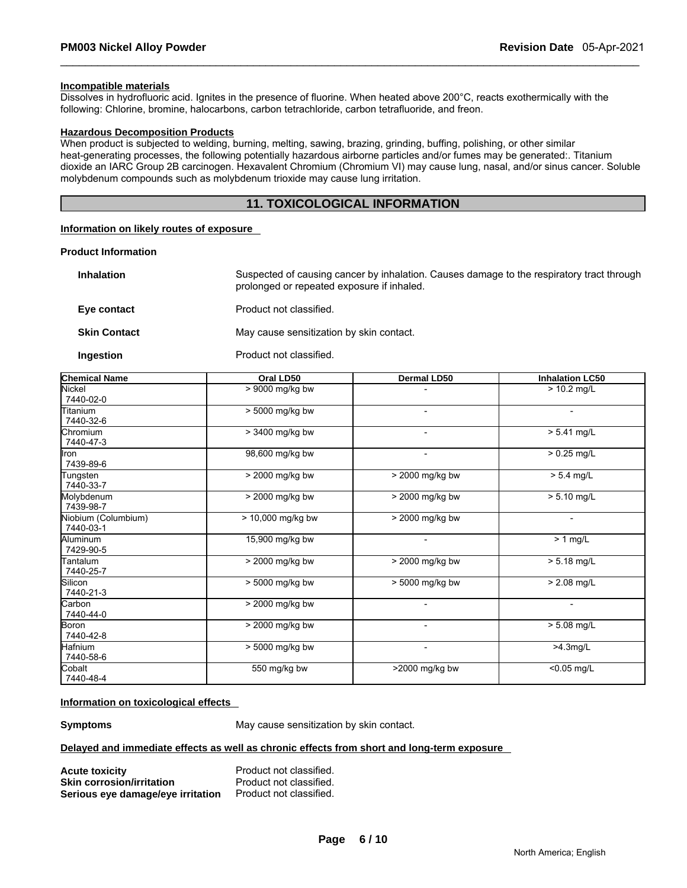#### **Incompatible materials**

Dissolves in hydrofluoric acid. Ignites in the presence of fluorine. When heated above 200°C, reacts exothermically with the following: Chlorine, bromine, halocarbons, carbon tetrachloride, carbon tetrafluoride, and freon.

#### **Hazardous Decomposition Products**

When product is subjected to welding, burning, melting, sawing, brazing, grinding, buffing, polishing, or other similar heat-generating processes, the following potentially hazardous airborne particles and/or fumes may be generated:. Titanium dioxide an IARC Group 2B carcinogen. Hexavalent Chromium (Chromium VI) may cause lung, nasal, and/or sinus cancer. Soluble molybdenum compounds such as molybdenum trioxide may cause lung irritation.

# **11. TOXICOLOGICAL INFORMATION**

#### **Information on likely routes of exposure**

#### **Product Information**

| <b>Inhalation</b>   | Suspected of causing cancer by inhalation. Causes damage to the respiratory tract through<br>prolonged or repeated exposure if inhaled. |
|---------------------|-----------------------------------------------------------------------------------------------------------------------------------------|
| Eve contact         | Product not classified.                                                                                                                 |
| <b>Skin Contact</b> | May cause sensitization by skin contact.                                                                                                |

## **Ingestion Product not classified.**

| <b>Chemical Name</b>             | Oral LD50         | Dermal LD50              | <b>Inhalation LC50</b>   |
|----------------------------------|-------------------|--------------------------|--------------------------|
| Nickel<br>7440-02-0              | > 9000 mg/kg bw   |                          | $> 10.2$ mg/L            |
| <b>Fitanium</b><br>7440-32-6     | > 5000 mg/kg bw   |                          |                          |
| <b>Chromium</b><br>7440-47-3     | > 3400 mg/kg bw   | $\overline{\phantom{0}}$ | $> 5.41$ mg/L            |
| llron<br>7439-89-6               | 98,600 mg/kg bw   | ۰                        | $> 0.25$ mg/L            |
| Tungsten<br>7440-33-7            | > 2000 mg/kg bw   | > 2000 mg/kg bw          | $> 5.4$ mg/L             |
| Molybdenum<br>7439-98-7          | > 2000 mg/kg bw   | > 2000 mg/kg bw          | $> 5.10$ mg/L            |
| Niobium (Columbium)<br>7440-03-1 | > 10,000 mg/kg bw | > 2000 mg/kg bw          | $\overline{a}$           |
| Aluminum<br>7429-90-5            | 15,900 mg/kg bw   | ۰.                       | $> 1$ mg/L               |
| <b>Fantalum</b><br>7440-25-7     | > 2000 mg/kg bw   | > 2000 mg/kg bw          | $> 5.18$ mg/L            |
| Silicon<br>7440-21-3             | > 5000 mg/kg bw   | > 5000 mg/kg bw          | $> 2.08$ mg/L            |
| Carbon<br>7440-44-0              | > 2000 mg/kg bw   | -                        | $\overline{\phantom{0}}$ |
| Boron<br>7440-42-8               | > 2000 mg/kg bw   |                          | $> 5.08$ mg/L            |
| Hafnium<br>7440-58-6             | > 5000 mg/kg bw   |                          | $>4.3$ mg/L              |
| Cobalt<br>7440-48-4              | 550 mg/kg bw      | >2000 mg/kg bw           | <0.05 mg/L               |

## **Information on toxicological effects**

**Symptoms May cause sensitization by skin contact.** 

#### **Delayed and immediate effects as well as chronic effects from short and long-term exposure**

| <b>Acute toxicity</b>             | Product not classified. |
|-----------------------------------|-------------------------|
| <b>Skin corrosion/irritation</b>  | Product not classified. |
| Serious eye damage/eye irritation | Product not classified. |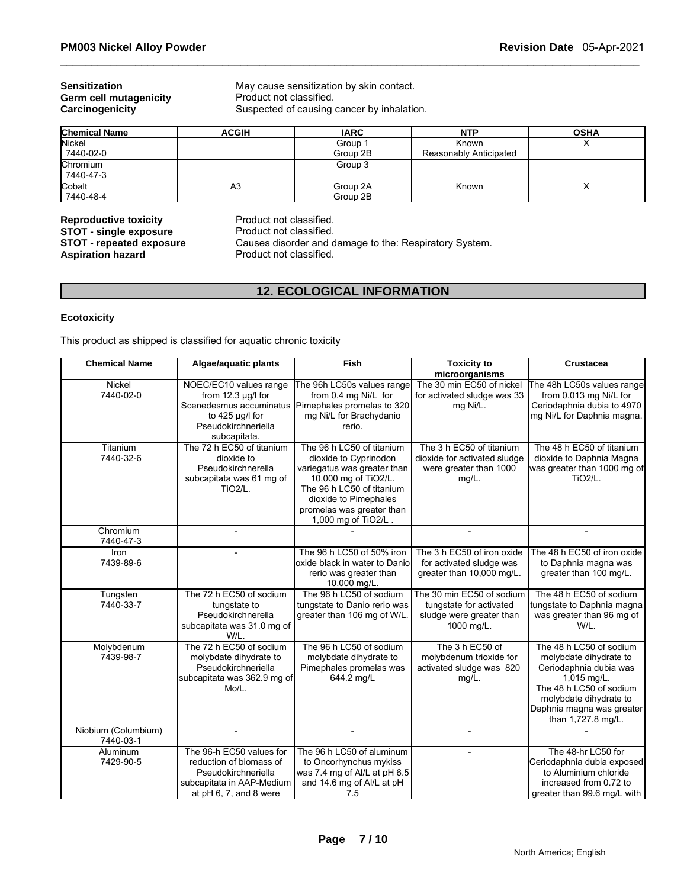# **Germ cell mutagenicity<br>Carcinogenicity**

**Sensitization**  May cause sensitization by skin contact.<br> **Germ cell mutagenicity Contact Product not classified.** Suspected of causing cancer by inhalation.

| <b>Chemical Name</b> | <b>ACGIH</b> | <b>IARC</b> | <b>NTP</b>             | <b>OSHA</b> |
|----------------------|--------------|-------------|------------------------|-------------|
| Nickel               |              | Group 1     | Known                  |             |
| 7440-02-0            |              | Group 2B    | Reasonably Anticipated |             |
| Chromium             |              | Group 3     |                        |             |
| 7440-47-3            |              |             |                        |             |
| Cobalt               | A3           | Group 2A    | Known                  |             |
| 7440-48-4            |              | Group 2B    |                        |             |

**Reproductive toxicity example 3 Reproductive Product not classified.**<br> **STOT - single exposure** Product not classified. **STOT - single exposure<br>
<b>STOT - repeated exposure** 

**STOT - repeated exposure Causes disorder and damage to the: Respiratory System.**<br>**Aspiration hazard Product not classified.** 

Product not classified.

# **12. ECOLOGICAL INFORMATION**

# **Ecotoxicity**

This product as shipped is classified for aquatic chronic toxicity

| <b>Chemical Name</b> | Algae/aquatic plants        | <b>Fish</b>                   | <b>Toxicity to</b>           | <b>Crustacea</b>            |
|----------------------|-----------------------------|-------------------------------|------------------------------|-----------------------------|
|                      |                             |                               | microorganisms               |                             |
| Nickel               | NOEC/EC10 values range      | The 96h LC50s values range    | The 30 min EC50 of nickel    | The 48h LC50s values range  |
| 7440-02-0            | from $12.3 \mu g/l$ for     | from 0.4 mg Ni/L for          | for activated sludge was 33  | from 0.013 mg Ni/L for      |
|                      | Scenedesmus accuminatus     | Pimephales promelas to 320    | mg Ni/L.                     | Ceriodaphnia dubia to 4970  |
|                      | to 425 µg/l for             | mg Ni/L for Brachydanio       |                              | mg Ni/L for Daphnia magna.  |
|                      | Pseudokirchneriella         | rerio.                        |                              |                             |
|                      | subcapitata.                |                               |                              |                             |
| Titanium             | The 72 h EC50 of titanium   | The 96 h LC50 of titanium     | The 3 h EC50 of titanium     | The 48 h EC50 of titanium   |
| 7440-32-6            | dioxide to                  | dioxide to Cyprinodon         | dioxide for activated sludge | dioxide to Daphnia Magna    |
|                      | Pseudokirchnerella          | variegatus was greater than   | were greater than 1000       | was greater than 1000 mg of |
|                      | subcapitata was 61 mg of    | 10,000 mg of TiO2/L.          | mg/L.                        | TiO <sub>2</sub> /L.        |
|                      | <b>TiO2/L.</b>              | The 96 h LC50 of titanium     |                              |                             |
|                      |                             | dioxide to Pimephales         |                              |                             |
|                      |                             | promelas was greater than     |                              |                             |
|                      |                             | 1,000 mg of TiO2/L.           |                              |                             |
| Chromium             |                             |                               | $\overline{a}$               |                             |
| 7440-47-3            |                             |                               |                              |                             |
| Iron                 |                             | The 96 h LC50 of 50% iron     | The 3 h EC50 of iron oxide   | The 48 h EC50 of iron oxide |
| 7439-89-6            |                             | oxide black in water to Danio | for activated sludge was     | to Daphnia magna was        |
|                      |                             | rerio was greater than        | greater than 10,000 mg/L.    | greater than 100 mg/L.      |
|                      |                             | 10,000 mg/L.                  |                              |                             |
| Tungsten             | The 72 h EC50 of sodium     | The 96 h LC50 of sodium       | The 30 min EC50 of sodium    | The 48 h EC50 of sodium     |
| 7440-33-7            | tungstate to                | tungstate to Danio rerio was  | tungstate for activated      | tungstate to Daphnia magna  |
|                      | Pseudokirchnerella          | greater than 106 mg of W/L.   | sludge were greater than     | was greater than 96 mg of   |
|                      | subcapitata was 31.0 mg of  |                               | 1000 mg/L.                   | W/L.                        |
|                      | W/L.                        |                               |                              |                             |
| Molybdenum           | The 72 h EC50 of sodium     | The 96 h LC50 of sodium       | The 3 h EC50 of              | The 48 h LC50 of sodium     |
| 7439-98-7            | molybdate dihydrate to      | molybdate dihydrate to        | molybdenum trioxide for      | molybdate dihydrate to      |
|                      | Pseudokirchneriella         | Pimephales promelas was       | activated sludge was 820     | Ceriodaphnia dubia was      |
|                      | subcapitata was 362.9 mg of | 644.2 mg/L                    | $mg/L$ .                     | 1,015 mg/L.                 |
|                      | Mo/L.                       |                               |                              | The 48 h LC50 of sodium     |
|                      |                             |                               |                              | molybdate dihydrate to      |
|                      |                             |                               |                              | Daphnia magna was greater   |
|                      |                             |                               |                              | than 1,727.8 mg/L.          |
| Niobium (Columbium)  |                             |                               |                              |                             |
| 7440-03-1            |                             |                               |                              |                             |
| Aluminum             | The 96-h EC50 values for    | The 96 h LC50 of aluminum     |                              | The 48-hr LC50 for          |
| 7429-90-5            | reduction of biomass of     | to Oncorhynchus mykiss        |                              | Ceriodaphnia dubia exposed  |
|                      | Pseudokirchneriella         | was 7.4 mg of Al/L at pH 6.5  |                              | to Aluminium chloride       |
|                      | subcapitata in AAP-Medium   | and 14.6 mg of Al/L at pH     |                              | increased from 0.72 to      |
|                      | at pH 6, 7, and 8 were      | 7.5                           |                              | greater than 99.6 mg/L with |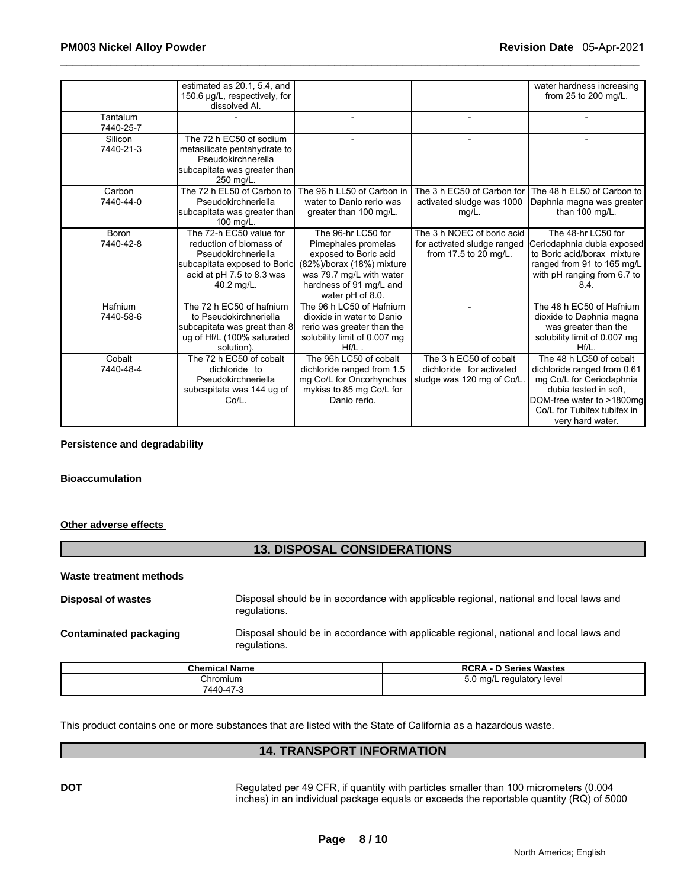|           | estimated as 20.1, 5.4, and   |                              |                             | water hardness increasing    |
|-----------|-------------------------------|------------------------------|-----------------------------|------------------------------|
|           | 150.6 µg/L, respectively, for |                              |                             | from 25 to 200 mg/L.         |
|           | dissolved Al.                 |                              |                             |                              |
| Tantalum  |                               |                              |                             |                              |
| 7440-25-7 |                               |                              |                             |                              |
| Silicon   | The 72 h EC50 of sodium       |                              |                             |                              |
| 7440-21-3 | metasilicate pentahydrate to  |                              |                             |                              |
|           | Pseudokirchnerella            |                              |                             |                              |
|           | subcapitata was greater than  |                              |                             |                              |
|           | 250 mg/L.                     |                              |                             |                              |
| Carbon    | The 72 h EL50 of Carbon to    | The 96 h LL50 of Carbon in   | The 3 h EC50 of Carbon for  | The 48 h EL50 of Carbon to   |
| 7440-44-0 | Pseudokirchneriella           | water to Danio rerio was     | activated sludge was 1000   | Daphnia magna was greater    |
|           | subcapitata was greater than  | greater than 100 mg/L.       | $mg/L$ .                    | than 100 mg/L.               |
|           | 100 mg/L.                     |                              |                             |                              |
| Boron     | The 72-h EC50 value for       | The 96-hr LC50 for           | The 3 h NOEC of boric acid  | The 48-hr LC50 for           |
| 7440-42-8 | reduction of biomass of       | Pimephales promelas          | for activated sludge ranged | Ceriodaphnia dubia exposed   |
|           | Pseudokirchneriella           | exposed to Boric acid        | from 17.5 to 20 mg/L.       | to Boric acid/borax mixture  |
|           | subcapitata exposed to Boric  | (82%)/borax (18%) mixture    |                             | ranged from 91 to 165 mg/L   |
|           | acid at pH 7.5 to 8.3 was     | was 79.7 mg/L with water     |                             | with pH ranging from 6.7 to  |
|           | 40.2 mg/L.                    | hardness of 91 mg/L and      |                             | 8.4.                         |
|           |                               | water pH of 8.0.             |                             |                              |
| Hafnium   | The 72 h EC50 of hafnium      | The 96 h LC50 of Hafnium     |                             | The 48 h EC50 of Hafnium     |
| 7440-58-6 | to Pseudokirchneriella        | dioxide in water to Danio    |                             | dioxide to Daphnia magna     |
|           | subcapitata was great than 8  | rerio was greater than the   |                             | was greater than the         |
|           | ug of Hf/L (100% saturated    | solubility limit of 0.007 mg |                             | solubility limit of 0.007 mg |
|           | solution).                    | Hf/L                         |                             | $Hf/L$ .                     |
| Cobalt    | The 72 h EC50 of cobalt       | The 96h LC50 of cobalt       | The 3 h EC50 of cobalt      | The 48 h LC50 of cobalt      |
| 7440-48-4 | dichloride to                 | dichloride ranged from 1.5   | dichloride for activated    | dichloride ranged from 0.61  |
|           | Pseudokirchneriella           | mg Co/L for Oncorhynchus     | sludge was 120 mg of Co/L.  | mg Co/L for Ceriodaphnia     |
|           | subcapitata was 144 ug of     | mykiss to 85 mg Co/L for     |                             | dubia tested in soft.        |
|           | Co/L.                         | Danio rerio.                 |                             | DOM-free water to >1800mg    |
|           |                               |                              |                             | Co/L for Tubifex tubifex in  |
|           |                               |                              |                             | very hard water.             |

#### **Persistence and degradability**

#### **Bioaccumulation**

# **Other adverse effects**

# **13. DISPOSAL CONSIDERATIONS**

# **Waste treatment methods**

**Disposal of wastes** Disposal should be in accordance with applicable regional, national and local laws and regulations.

**Contaminated packaging** Disposal should be in accordance with applicable regional, national and local laws and regulations.

| <b>Chemical Name</b> | <b>RCRA - D Series Wastes</b>   |  |
|----------------------|---------------------------------|--|
| Chromium             | 0 ma/L<br>regulatory level<br>ັ |  |
| 7440-47-3            |                                 |  |

This product contains one or more substances that are listed with the State of California as a hazardous waste.

# **14. TRANSPORT INFORMATION**

**DOT** Regulated per 49 CFR, if quantity with particles smaller than 100 micrometers (0.004 inches) in an individual package equals or exceeds the reportable quantity (RQ) of 5000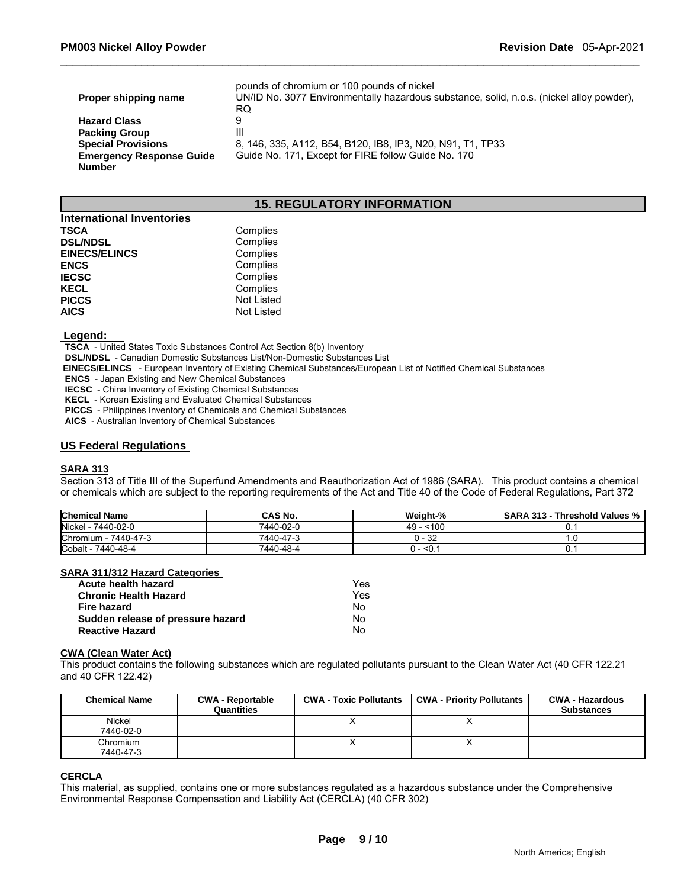|                                 | pounds of chromium or 100 pounds of nickel                                               |
|---------------------------------|------------------------------------------------------------------------------------------|
| Proper shipping name            | UN/ID No. 3077 Environmentally hazardous substance, solid, n.o.s. (nickel alloy powder), |
|                                 | RQ                                                                                       |
| <b>Hazard Class</b>             | 9                                                                                        |
| <b>Packing Group</b>            | Ш                                                                                        |
| <b>Special Provisions</b>       | 8, 146, 335, A112, B54, B120, IB8, IP3, N20, N91, T1, TP33                               |
| <b>Emergency Response Guide</b> | Guide No. 171, Except for FIRE follow Guide No. 170                                      |
| <b>Number</b>                   |                                                                                          |

# **15. REGULATORY INFORMATION**

| <b>International Inventories</b> |                   |
|----------------------------------|-------------------|
| <b>TSCA</b>                      | Complies          |
| <b>DSL/NDSL</b>                  | Complies          |
| <b>EINECS/ELINCS</b>             | Complies          |
| <b>ENCS</b>                      | Complies          |
| <b>IECSC</b>                     | Complies          |
| <b>KECL</b>                      | Complies          |
| <b>PICCS</b>                     | <b>Not Listed</b> |
| <b>AICS</b>                      | <b>Not Listed</b> |

#### **Legend:**

 **TSCA** - United States Toxic Substances Control Act Section 8(b) Inventory

 **DSL/NDSL** - Canadian Domestic Substances List/Non-Domestic Substances List

 **EINECS/ELINCS** - European Inventory of Existing Chemical Substances/European List of Notified Chemical Substances

 **ENCS** - Japan Existing and New Chemical Substances

 **IECSC** - China Inventory of Existing Chemical Substances

 **KECL** - Korean Existing and Evaluated Chemical Substances

 **PICCS** - Philippines Inventory of Chemicals and Chemical Substances

 **AICS** - Australian Inventory of Chemical Substances

# **US Federal Regulations**

#### **SARA 313**

Section 313 of Title III of the Superfund Amendments and Reauthorization Act of 1986 (SARA). This product contains a chemical or chemicals which are subject to the reporting requirements of the Act and Title 40 of the Code of Federal Regulations, Part 372

| <b>Chemical Name</b> | CAS No.   | Weight-% | <b>SARA 313 - Threshold Values %</b> |
|----------------------|-----------|----------|--------------------------------------|
| Nickel - 7440-02-0   | 7440-02-0 | < 100    |                                      |
| Chromium - 7440-47-3 | 7440-47-3 | 0 - 32   | ں ا                                  |
| Cobalt - 7440-48-4   | 7440-48-4 | – <0. .  |                                      |

# **SARA 311/312 Hazard Categories**

| Acute health hazard               | Yes |
|-----------------------------------|-----|
| <b>Chronic Health Hazard</b>      | Yes |
| Fire hazard                       | No  |
| Sudden release of pressure hazard | No  |
| <b>Reactive Hazard</b>            | No  |

#### **CWA (Clean Water Act)**

This product contains the following substances which are regulated pollutants pursuant to the Clean Water Act (40 CFR 122.21 and 40 CFR 122.42)

| <b>Chemical Name</b>  | <b>CWA - Reportable</b><br>Quantities | <b>CWA - Toxic Pollutants</b> | <b>CWA - Priority Pollutants</b> | <b>CWA - Hazardous</b><br><b>Substances</b> |
|-----------------------|---------------------------------------|-------------------------------|----------------------------------|---------------------------------------------|
| Nickel<br>7440-02-0   |                                       |                               |                                  |                                             |
| Chromium<br>7440-47-3 |                                       |                               |                                  |                                             |

ORROLA<br>This material, as supplied, contains one or more substances regulated as<br>Environmental Response Compensation and Liability Act (CERCLA) (40 C<br>Page 9 / 10 This material, as supplied, contains one or more substances regulated as a hazardous substance under the Comprehensive Environmental Response Compensation and Liability Act (CERCLA) (40 CFR 302)